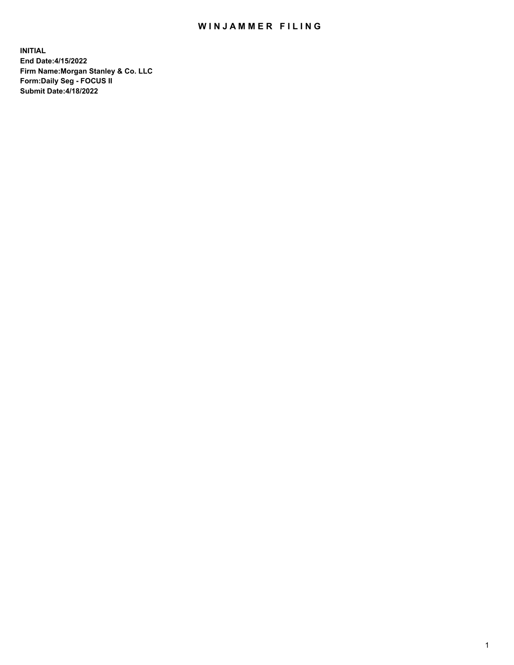## WIN JAMMER FILING

**INITIAL End Date:4/15/2022 Firm Name:Morgan Stanley & Co. LLC Form:Daily Seg - FOCUS II Submit Date:4/18/2022**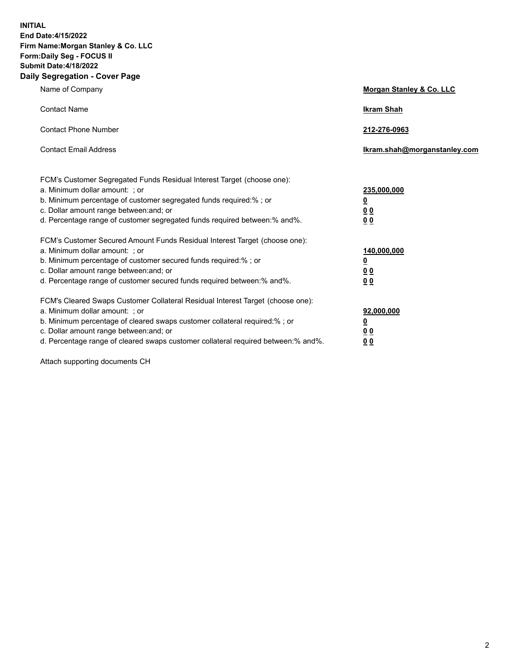**INITIAL End Date:4/15/2022 Firm Name:Morgan Stanley & Co. LLC Form:Daily Seg - FOCUS II Submit Date:4/18/2022 Daily Segregation - Cover Page**

| Name of Company                                                                                                                                                                                                                                                                                                                | Morgan Stanley & Co. LLC                                    |
|--------------------------------------------------------------------------------------------------------------------------------------------------------------------------------------------------------------------------------------------------------------------------------------------------------------------------------|-------------------------------------------------------------|
| <b>Contact Name</b>                                                                                                                                                                                                                                                                                                            | <b>Ikram Shah</b>                                           |
| <b>Contact Phone Number</b>                                                                                                                                                                                                                                                                                                    | 212-276-0963                                                |
| <b>Contact Email Address</b>                                                                                                                                                                                                                                                                                                   | lkram.shah@morganstanley.com                                |
| FCM's Customer Segregated Funds Residual Interest Target (choose one):<br>a. Minimum dollar amount: ; or<br>b. Minimum percentage of customer segregated funds required:% ; or<br>c. Dollar amount range between: and; or<br>d. Percentage range of customer segregated funds required between:% and%.                         | 235,000,000<br><u>0</u><br><u>00</u><br>00                  |
| FCM's Customer Secured Amount Funds Residual Interest Target (choose one):<br>a. Minimum dollar amount: ; or<br>b. Minimum percentage of customer secured funds required:%; or<br>c. Dollar amount range between: and; or<br>d. Percentage range of customer secured funds required between: % and %.                          | 140,000,000<br><u>0</u><br>0 <sub>0</sub><br>0 <sub>0</sub> |
| FCM's Cleared Swaps Customer Collateral Residual Interest Target (choose one):<br>a. Minimum dollar amount: ; or<br>b. Minimum percentage of cleared swaps customer collateral required:% ; or<br>c. Dollar amount range between: and; or<br>d. Percentage range of cleared swaps customer collateral required between:% and%. | 92,000,000<br><u>0</u><br><u>00</u><br>0 <sub>0</sub>       |

Attach supporting documents CH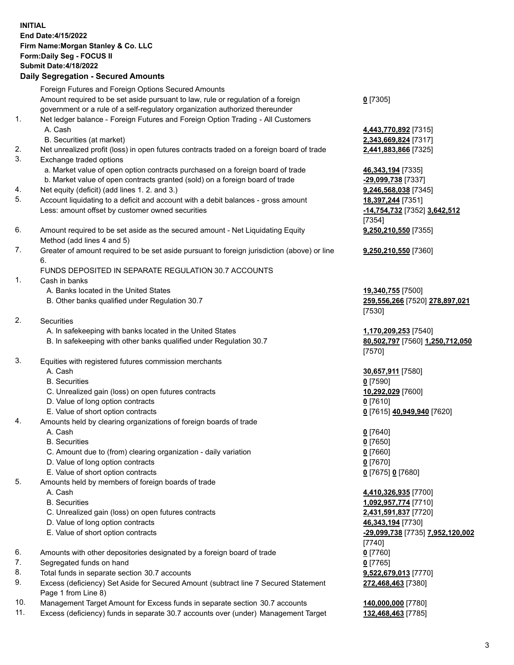## **INITIAL End Date:4/15/2022 Firm Name:Morgan Stanley & Co. LLC Form:Daily Seg - FOCUS II Submit Date:4/18/2022 Daily Segregation - Secured Amounts** Foreign Futures and Foreign Options Secured Amounts Amount required to be set aside pursuant to law, rule or regulation of a foreign government or a rule of a self-regulatory organization authorized thereunder **0** [7305] 1. Net ledger balance - Foreign Futures and Foreign Option Trading - All Customers A. Cash **4,443,770,892** [7315] B. Securities (at market) **2,343,669,824** [7317] 2. Net unrealized profit (loss) in open futures contracts traded on a foreign board of trade **2,441,883,866** [7325] 3. Exchange traded options a. Market value of open option contracts purchased on a foreign board of trade **46,343,194** [7335] b. Market value of open contracts granted (sold) on a foreign board of trade **-29,099,738** [7337] 4. Net equity (deficit) (add lines 1. 2. and 3.) **9,246,568,038** [7345] 5. Account liquidating to a deficit and account with a debit balances - gross amount **18,397,244** [7351] Less: amount offset by customer owned securities **-14,754,732** [7352] **3,642,512** [7354] 6. Amount required to be set aside as the secured amount - Net Liquidating Equity Method (add lines 4 and 5) **9,250,210,550** [7355] 7. Greater of amount required to be set aside pursuant to foreign jurisdiction (above) or line 6. **9,250,210,550** [7360] FUNDS DEPOSITED IN SEPARATE REGULATION 30.7 ACCOUNTS 1. Cash in banks A. Banks located in the United States **19,340,755** [7500] B. Other banks qualified under Regulation 30.7 **259,556,266** [7520] **278,897,021** [7530] 2. Securities A. In safekeeping with banks located in the United States **1,170,209,253** [7540] B. In safekeeping with other banks qualified under Regulation 30.7 **80,502,797** [7560] **1,250,712,050** [7570] 3. Equities with registered futures commission merchants A. Cash **30,657,911** [7580] B. Securities **0** [7590] C. Unrealized gain (loss) on open futures contracts **10,292,029** [7600] D. Value of long option contracts **0** [7610] E. Value of short option contracts **0** [7615] **40,949,940** [7620] 4. Amounts held by clearing organizations of foreign boards of trade A. Cash **0** [7640] B. Securities **0** [7650] C. Amount due to (from) clearing organization - daily variation **0** [7660] D. Value of long option contracts **0** [7670] E. Value of short option contracts **0** [7675] **0** [7680] 5. Amounts held by members of foreign boards of trade A. Cash **4,410,326,935** [7700] B. Securities **1,092,957,774** [7710] C. Unrealized gain (loss) on open futures contracts **2,431,591,837** [7720] D. Value of long option contracts **46,343,194** [7730] E. Value of short option contracts **-29,099,738** [7735] **7,952,120,002** [7740] 6. Amounts with other depositories designated by a foreign board of trade **0** [7760] 7. Segregated funds on hand **0** [7765] 8. Total funds in separate section 30.7 accounts **9,522,679,013** [7770] **272,468,463** [7380]

- 9. Excess (deficiency) Set Aside for Secured Amount (subtract line 7 Secured Statement Page 1 from Line 8)
- 10. Management Target Amount for Excess funds in separate section 30.7 accounts **140,000,000** [7780]
- 11. Excess (deficiency) funds in separate 30.7 accounts over (under) Management Target **132,468,463** [7785]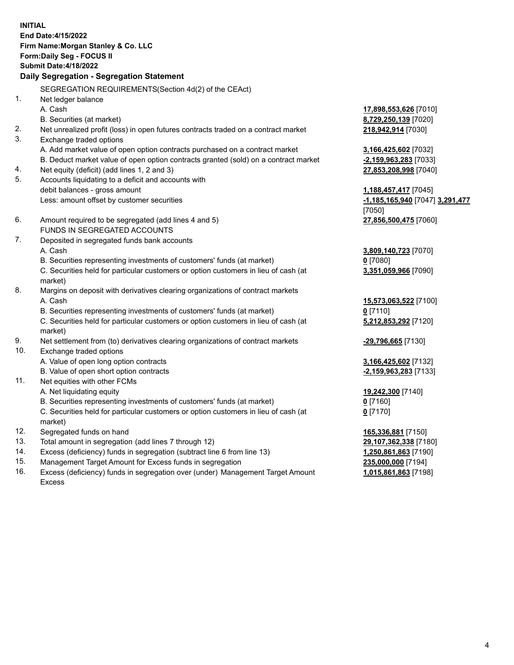**INITIAL End Date:4/15/2022 Firm Name:Morgan Stanley & Co. LLC Form:Daily Seg - FOCUS II Submit Date:4/18/2022 Daily Segregation - Segregation Statement** SEGREGATION REQUIREMENTS(Section 4d(2) of the CEAct) 1. Net ledger balance A. Cash **17,898,553,626** [7010] B. Securities (at market) **8,729,250,139** [7020] 2. Net unrealized profit (loss) in open futures contracts traded on a contract market **218,942,914** [7030] 3. Exchange traded options A. Add market value of open option contracts purchased on a contract market **3,166,425,602** [7032] B. Deduct market value of open option contracts granted (sold) on a contract market **-2,159,963,283** [7033] 4. Net equity (deficit) (add lines 1, 2 and 3) **27,853,208,998** [7040] 5. Accounts liquidating to a deficit and accounts with debit balances - gross amount **1,188,457,417** [7045] Less: amount offset by customer securities **-1,185,165,940** [7047] **3,291,477** [7050] 6. Amount required to be segregated (add lines 4 and 5) **27,856,500,475** [7060] FUNDS IN SEGREGATED ACCOUNTS 7. Deposited in segregated funds bank accounts A. Cash **3,809,140,723** [7070] B. Securities representing investments of customers' funds (at market) **0** [7080] C. Securities held for particular customers or option customers in lieu of cash (at market) **3,351,059,966** [7090] 8. Margins on deposit with derivatives clearing organizations of contract markets A. Cash **15,573,063,522** [7100] B. Securities representing investments of customers' funds (at market) **0** [7110] C. Securities held for particular customers or option customers in lieu of cash (at market) **5,212,853,292** [7120] 9. Net settlement from (to) derivatives clearing organizations of contract markets **-29,796,665** [7130] 10. Exchange traded options A. Value of open long option contracts **3,166,425,602** [7132] B. Value of open short option contracts **-2,159,963,283** [7133] 11. Net equities with other FCMs A. Net liquidating equity **19,242,300** [7140] B. Securities representing investments of customers' funds (at market) **0** [7160] C. Securities held for particular customers or option customers in lieu of cash (at market) **0** [7170] 12. Segregated funds on hand **165,336,881** [7150] 13. Total amount in segregation (add lines 7 through 12) **29,107,362,338** [7180] 14. Excess (deficiency) funds in segregation (subtract line 6 from line 13) **1,250,861,863** [7190] 15. Management Target Amount for Excess funds in segregation **235,000,000** [7194]

16. Excess (deficiency) funds in segregation over (under) Management Target Amount Excess

**1,015,861,863** [7198]